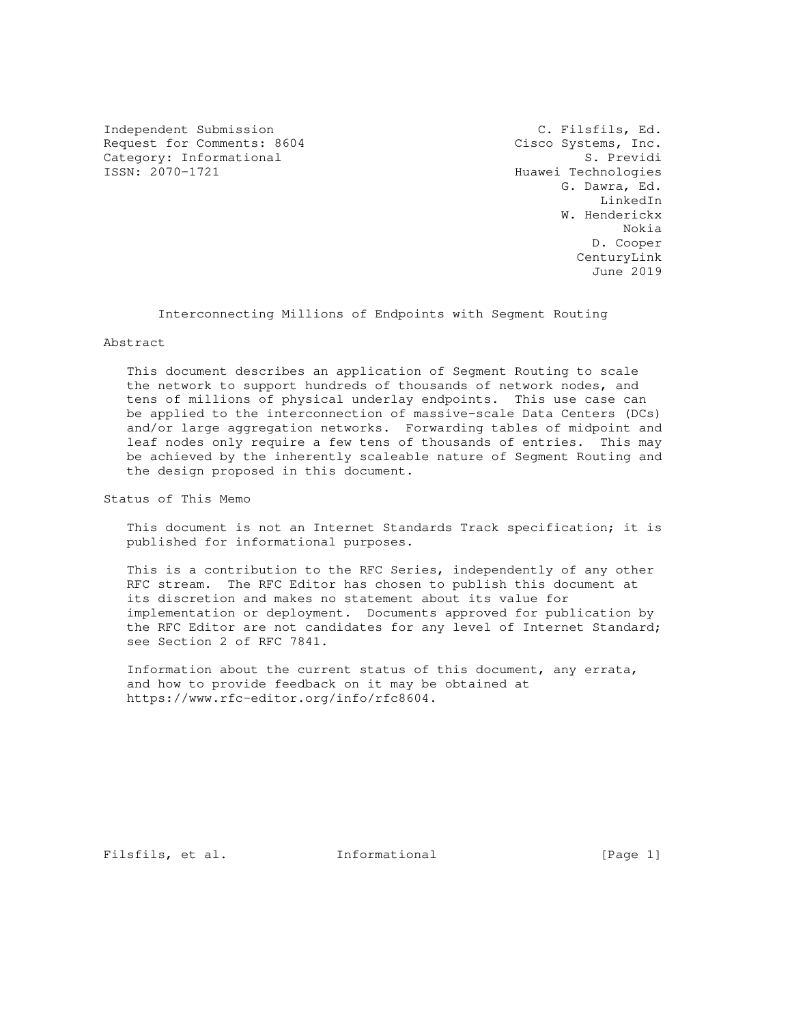Independent Submission C. Filsfils, Ed. Request for Comments: 8604 Cisco Systems, Inc.<br>Category: Informational S. Previdi Category: Informational<br>ISSN: 2070-1721

Huawei Technologies G. Dawra, Ed. LinkedIn W. Henderickx Nokia D. Cooper CenturyLink June 2019

Interconnecting Millions of Endpoints with Segment Routing

#### Abstract

 This document describes an application of Segment Routing to scale the network to support hundreds of thousands of network nodes, and tens of millions of physical underlay endpoints. This use case can be applied to the interconnection of massive-scale Data Centers (DCs) and/or large aggregation networks. Forwarding tables of midpoint and leaf nodes only require a few tens of thousands of entries. This may be achieved by the inherently scaleable nature of Segment Routing and the design proposed in this document.

Status of This Memo

 This document is not an Internet Standards Track specification; it is published for informational purposes.

 This is a contribution to the RFC Series, independently of any other RFC stream. The RFC Editor has chosen to publish this document at its discretion and makes no statement about its value for implementation or deployment. Documents approved for publication by the RFC Editor are not candidates for any level of Internet Standard; see Section 2 of RFC 7841.

 Information about the current status of this document, any errata, and how to provide feedback on it may be obtained at https://www.rfc-editor.org/info/rfc8604.

Filsfils, et al. 1nformational [Page 1]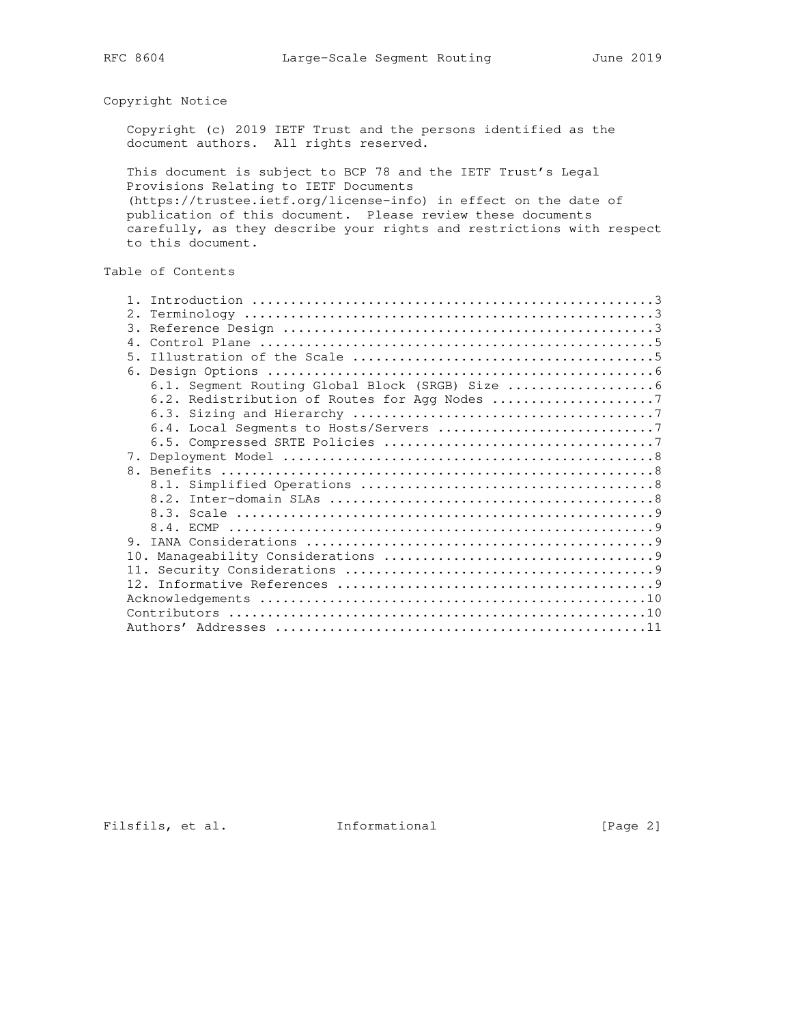## Copyright Notice

 Copyright (c) 2019 IETF Trust and the persons identified as the document authors. All rights reserved.

 This document is subject to BCP 78 and the IETF Trust's Legal Provisions Relating to IETF Documents (https://trustee.ietf.org/license-info) in effect on the date of publication of this document. Please review these documents carefully, as they describe your rights and restrictions with respect to this document.

# Table of Contents

| 2. |                                               |
|----|-----------------------------------------------|
|    |                                               |
|    |                                               |
|    |                                               |
|    |                                               |
|    | 6.1. Segment Routing Global Block (SRGB) Size |
|    |                                               |
|    |                                               |
|    |                                               |
|    |                                               |
|    |                                               |
|    |                                               |
|    |                                               |
|    |                                               |
|    |                                               |
|    |                                               |
| 9. |                                               |
|    |                                               |
|    |                                               |
|    |                                               |
|    |                                               |
|    |                                               |
|    |                                               |
|    |                                               |

Filsfils, et al. 1nformational [Page 2]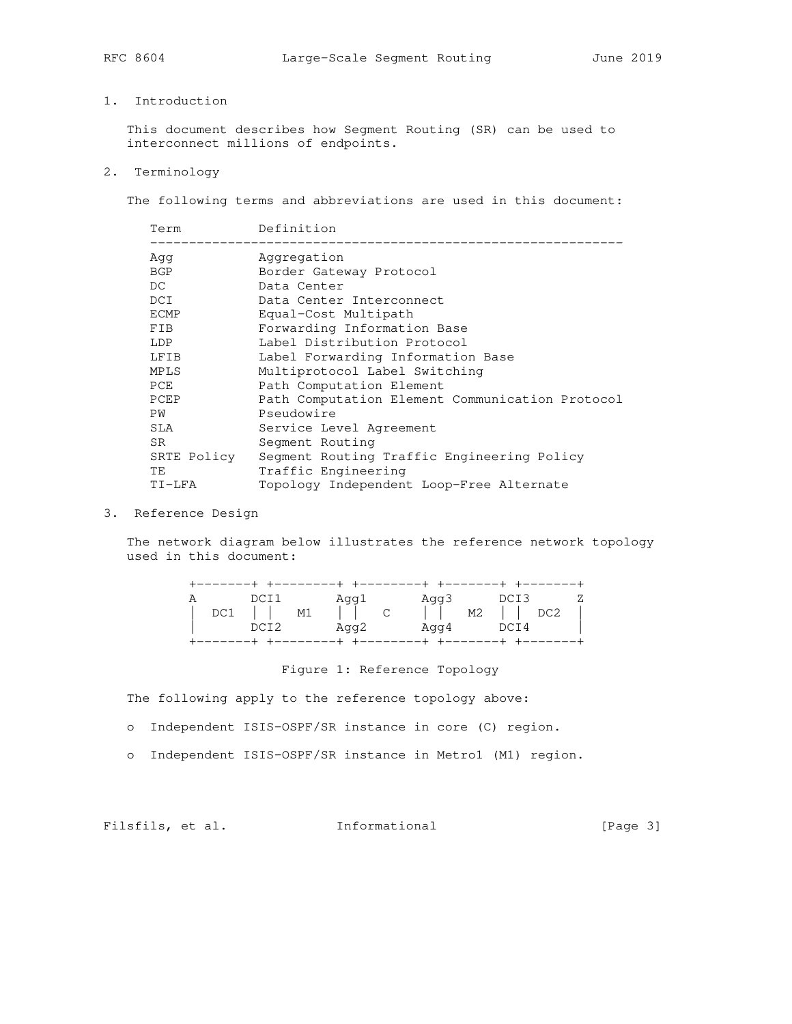# 1. Introduction

 This document describes how Segment Routing (SR) can be used to interconnect millions of endpoints.

2. Terminology

The following terms and abbreviations are used in this document:

| Term        | Definition                                      |
|-------------|-------------------------------------------------|
| Aqq         | Aggregation                                     |
| BGP         | Border Gateway Protocol                         |
| DC          | Data Center                                     |
| DCI         | Data Center Interconnect                        |
| ECMP        | Equal-Cost Multipath                            |
| <b>FIB</b>  | Forwarding Information Base                     |
| LDP         | Label Distribution Protocol                     |
| LFIB        | Label Forwarding Information Base               |
| MPLS        | Multiprotocol Label Switching                   |
| PCE         | Path Computation Element                        |
| PCEP        | Path Computation Element Communication Protocol |
| PW          | Pseudowire                                      |
| SLA         | Service Level Agreement                         |
| SR.         | Segment Routing                                 |
| SRTE Policy | Seqment Routing Traffic Engineering Policy      |
| TE          | Traffic Engineering                             |
| TI-LFA      | Topology Independent Loop-Free Alternate        |
|             |                                                 |

# 3. Reference Design

 The network diagram below illustrates the reference network topology used in this document:

|  | DCI1       | Agg1            | Aqq3                           | DCI3 | Z |
|--|------------|-----------------|--------------------------------|------|---|
|  | $DC1$ $M1$ | $\vert \vert$ c | $\vert$ $\vert$ M2 $\vert$ DC2 |      |   |
|  | DCI2       | Aqq2            | Aqq4                           | DCI4 |   |
|  |            |                 |                                |      |   |

## Figure 1: Reference Topology

The following apply to the reference topology above:

o Independent ISIS-OSPF/SR instance in core (C) region.

o Independent ISIS-OSPF/SR instance in Metro1 (M1) region.

Filsfils, et al. 1nformational [Page 3]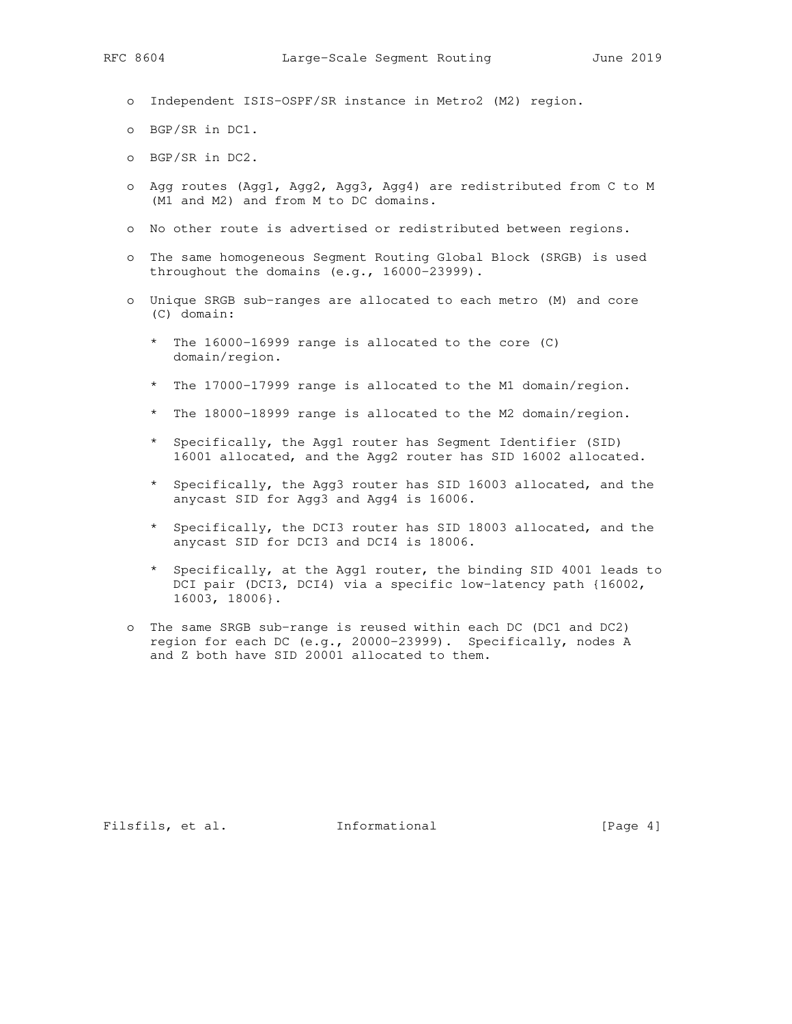- o Independent ISIS-OSPF/SR instance in Metro2 (M2) region.
- o BGP/SR in DC1.
- o BGP/SR in DC2.
- o Agg routes (Agg1, Agg2, Agg3, Agg4) are redistributed from C to M (M1 and M2) and from M to DC domains.
- o No other route is advertised or redistributed between regions.
- o The same homogeneous Segment Routing Global Block (SRGB) is used throughout the domains (e.g., 16000-23999).
- o Unique SRGB sub-ranges are allocated to each metro (M) and core (C) domain:
	- \* The 16000-16999 range is allocated to the core (C) domain/region.
	- \* The 17000-17999 range is allocated to the M1 domain/region.
	- \* The 18000-18999 range is allocated to the M2 domain/region.
	- \* Specifically, the Agg1 router has Segment Identifier (SID) 16001 allocated, and the Agg2 router has SID 16002 allocated.
	- \* Specifically, the Agg3 router has SID 16003 allocated, and the anycast SID for Agg3 and Agg4 is 16006.
	- \* Specifically, the DCI3 router has SID 18003 allocated, and the anycast SID for DCI3 and DCI4 is 18006.
	- \* Specifically, at the Agg1 router, the binding SID 4001 leads to DCI pair (DCI3, DCI4) via a specific low-latency path {16002, 16003, 18006}.
- o The same SRGB sub-range is reused within each DC (DC1 and DC2) region for each DC (e.g., 20000-23999). Specifically, nodes A and Z both have SID 20001 allocated to them.

Filsfils, et al. 1nformational [Page 4]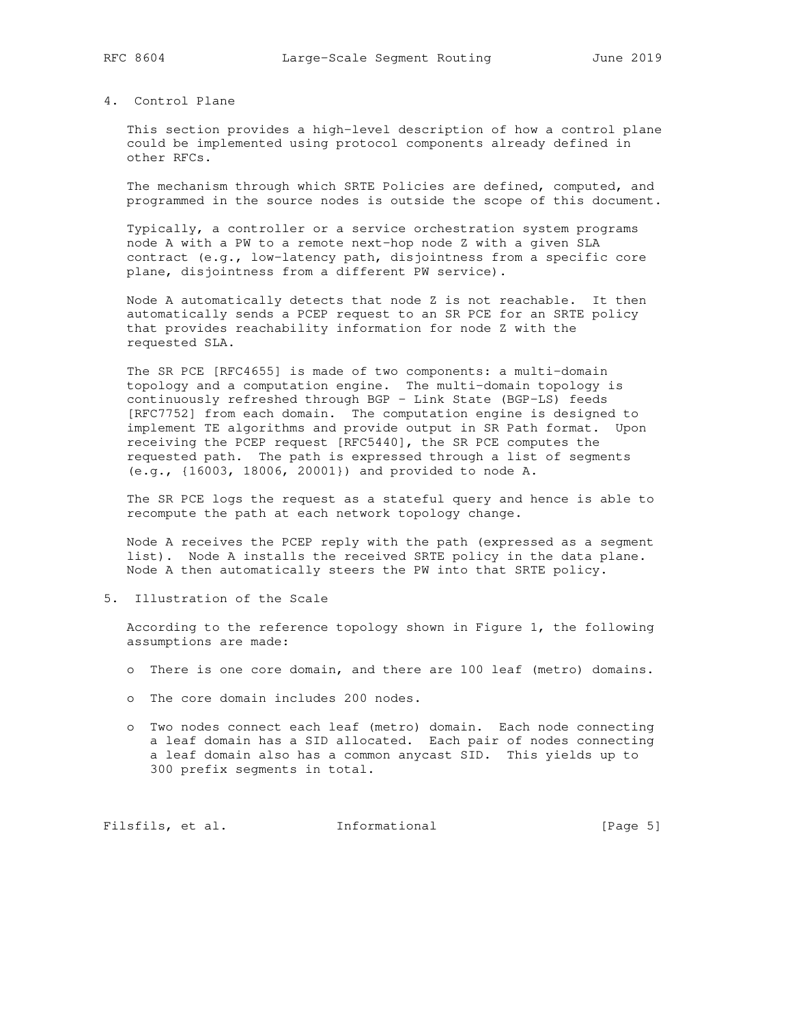## 4. Control Plane

 This section provides a high-level description of how a control plane could be implemented using protocol components already defined in other RFCs.

 The mechanism through which SRTE Policies are defined, computed, and programmed in the source nodes is outside the scope of this document.

 Typically, a controller or a service orchestration system programs node A with a PW to a remote next-hop node Z with a given SLA contract (e.g., low-latency path, disjointness from a specific core plane, disjointness from a different PW service).

 Node A automatically detects that node Z is not reachable. It then automatically sends a PCEP request to an SR PCE for an SRTE policy that provides reachability information for node Z with the requested SLA.

 The SR PCE [RFC4655] is made of two components: a multi-domain topology and a computation engine. The multi-domain topology is continuously refreshed through BGP - Link State (BGP-LS) feeds [RFC7752] from each domain. The computation engine is designed to implement TE algorithms and provide output in SR Path format. Upon receiving the PCEP request [RFC5440], the SR PCE computes the requested path. The path is expressed through a list of segments (e.g., {16003, 18006, 20001}) and provided to node A.

 The SR PCE logs the request as a stateful query and hence is able to recompute the path at each network topology change.

 Node A receives the PCEP reply with the path (expressed as a segment list). Node A installs the received SRTE policy in the data plane. Node A then automatically steers the PW into that SRTE policy.

5. Illustration of the Scale

 According to the reference topology shown in Figure 1, the following assumptions are made:

- o There is one core domain, and there are 100 leaf (metro) domains.
- o The core domain includes 200 nodes.
- o Two nodes connect each leaf (metro) domain. Each node connecting a leaf domain has a SID allocated. Each pair of nodes connecting a leaf domain also has a common anycast SID. This yields up to 300 prefix segments in total.

Filsfils, et al. 1nformational [Page 5]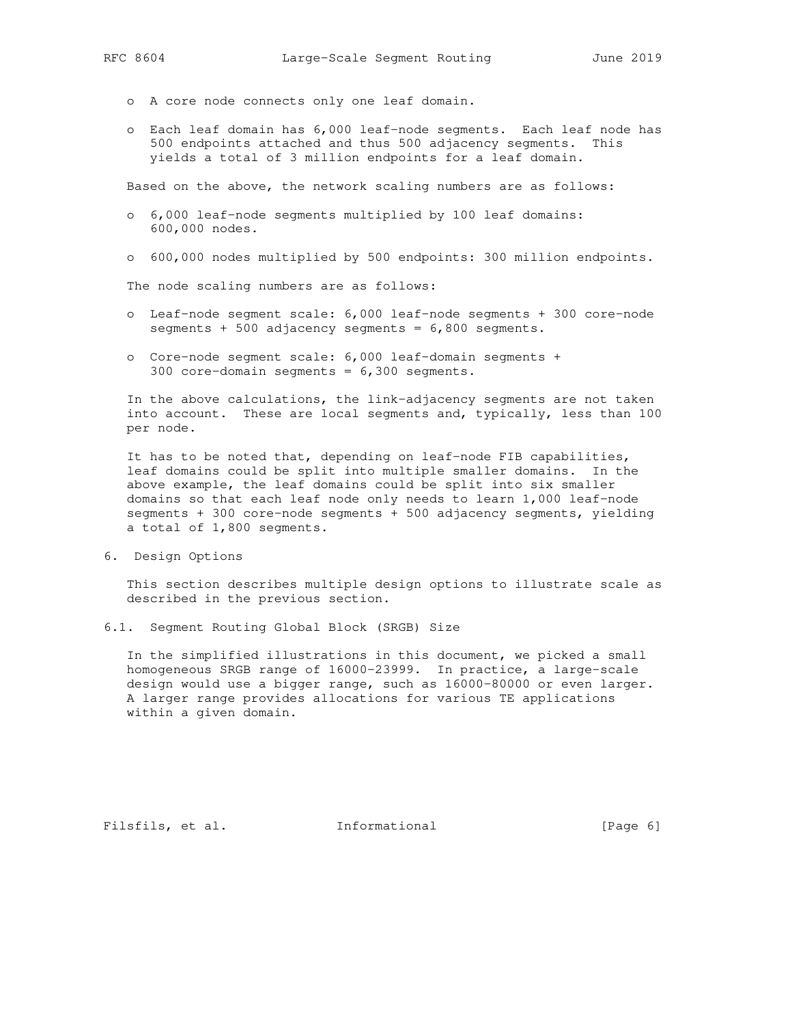- - o A core node connects only one leaf domain.
	- o Each leaf domain has 6,000 leaf-node segments. Each leaf node has 500 endpoints attached and thus 500 adjacency segments. This yields a total of 3 million endpoints for a leaf domain.

Based on the above, the network scaling numbers are as follows:

- o 6,000 leaf-node segments multiplied by 100 leaf domains: 600,000 nodes.
- o 600,000 nodes multiplied by 500 endpoints: 300 million endpoints.

The node scaling numbers are as follows:

- o Leaf-node segment scale: 6,000 leaf-node segments + 300 core-node segments + 500 adjacency segments = 6,800 segments.
- o Core-node segment scale: 6,000 leaf-domain segments + 300 core-domain segments = 6,300 segments.

 In the above calculations, the link-adjacency segments are not taken into account. These are local segments and, typically, less than 100 per node.

 It has to be noted that, depending on leaf-node FIB capabilities, leaf domains could be split into multiple smaller domains. In the above example, the leaf domains could be split into six smaller domains so that each leaf node only needs to learn 1,000 leaf-node segments + 300 core-node segments + 500 adjacency segments, yielding a total of 1,800 segments.

6. Design Options

 This section describes multiple design options to illustrate scale as described in the previous section.

6.1. Segment Routing Global Block (SRGB) Size

 In the simplified illustrations in this document, we picked a small homogeneous SRGB range of 16000-23999. In practice, a large-scale design would use a bigger range, such as 16000-80000 or even larger. A larger range provides allocations for various TE applications within a given domain.

Filsfils, et al. 1nformational [Page 6]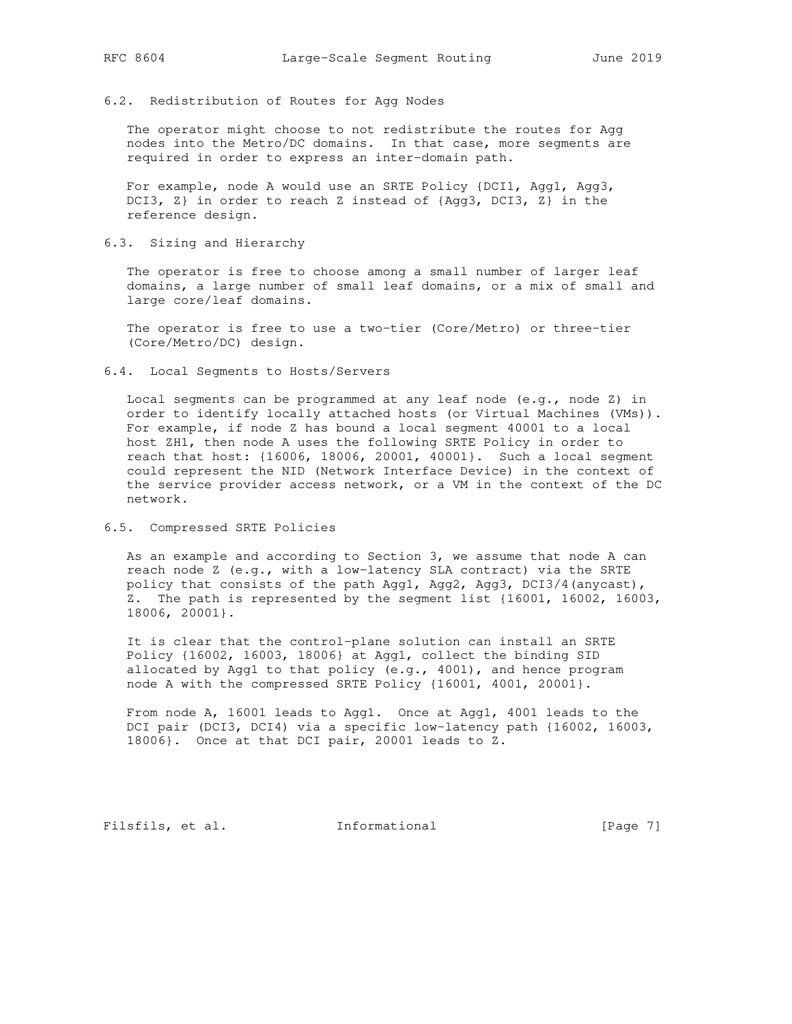## 6.2. Redistribution of Routes for Agg Nodes

 The operator might choose to not redistribute the routes for Agg nodes into the Metro/DC domains. In that case, more segments are required in order to express an inter-domain path.

 For example, node A would use an SRTE Policy {DCI1, Agg1, Agg3, DCI3, Z} in order to reach Z instead of {Agg3, DCI3, Z} in the reference design.

### 6.3. Sizing and Hierarchy

 The operator is free to choose among a small number of larger leaf domains, a large number of small leaf domains, or a mix of small and large core/leaf domains.

 The operator is free to use a two-tier (Core/Metro) or three-tier (Core/Metro/DC) design.

### 6.4. Local Segments to Hosts/Servers

 Local segments can be programmed at any leaf node (e.g., node Z) in order to identify locally attached hosts (or Virtual Machines (VMs)). For example, if node Z has bound a local segment 40001 to a local host ZH1, then node A uses the following SRTE Policy in order to reach that host: {16006, 18006, 20001, 40001}. Such a local segment could represent the NID (Network Interface Device) in the context of the service provider access network, or a VM in the context of the DC network.

### 6.5. Compressed SRTE Policies

 As an example and according to Section 3, we assume that node A can reach node Z (e.g., with a low-latency SLA contract) via the SRTE policy that consists of the path Agg1, Agg2, Agg3, DCI3/4(anycast), Z. The path is represented by the segment list {16001, 16002, 16003, 18006, 20001}.

 It is clear that the control-plane solution can install an SRTE Policy {16002, 16003, 18006} at Agg1, collect the binding SID allocated by Agg1 to that policy (e.g., 4001), and hence program node A with the compressed SRTE Policy {16001, 4001, 20001}.

 From node A, 16001 leads to Agg1. Once at Agg1, 4001 leads to the DCI pair (DCI3, DCI4) via a specific low-latency path {16002, 16003, 18006}. Once at that DCI pair, 20001 leads to Z.

Filsfils, et al. 1nformational [Page 7]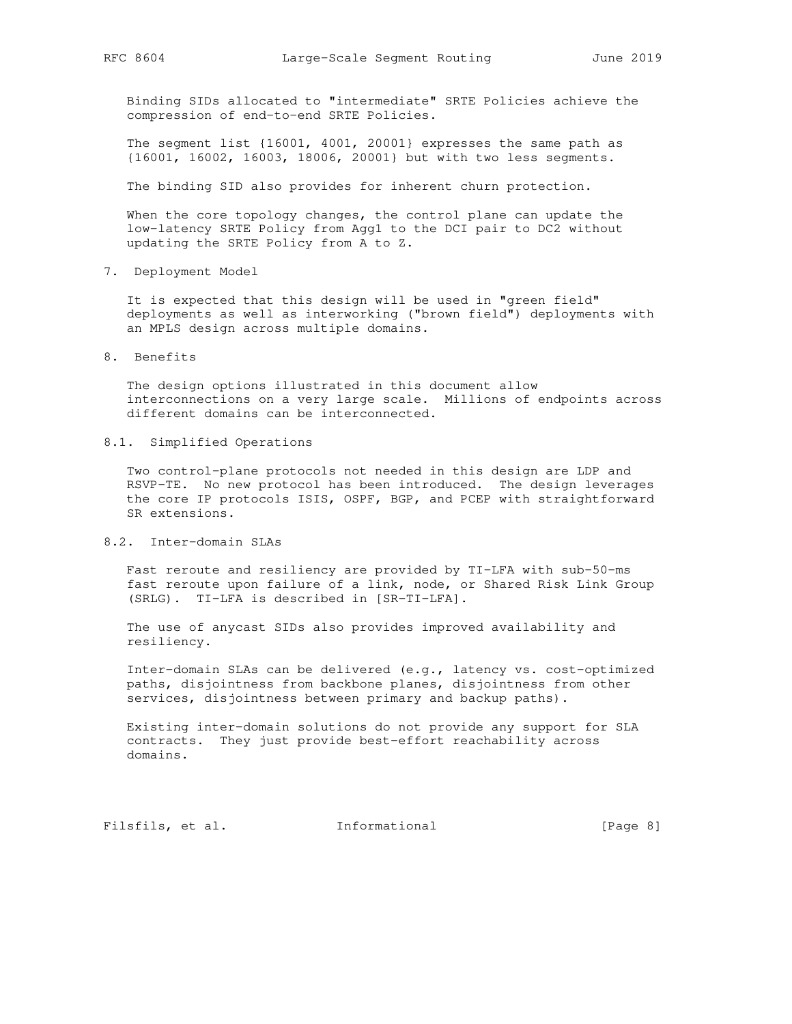Binding SIDs allocated to "intermediate" SRTE Policies achieve the compression of end-to-end SRTE Policies.

 The segment list {16001, 4001, 20001} expresses the same path as {16001, 16002, 16003, 18006, 20001} but with two less segments.

The binding SID also provides for inherent churn protection.

When the core topology changes, the control plane can update the low-latency SRTE Policy from Agg1 to the DCI pair to DC2 without updating the SRTE Policy from A to Z.

7. Deployment Model

 It is expected that this design will be used in "green field" deployments as well as interworking ("brown field") deployments with an MPLS design across multiple domains.

8. Benefits

 The design options illustrated in this document allow interconnections on a very large scale. Millions of endpoints across different domains can be interconnected.

8.1. Simplified Operations

 Two control-plane protocols not needed in this design are LDP and RSVP-TE. No new protocol has been introduced. The design leverages the core IP protocols ISIS, OSPF, BGP, and PCEP with straightforward SR extensions.

8.2. Inter-domain SLAs

 Fast reroute and resiliency are provided by TI-LFA with sub-50-ms fast reroute upon failure of a link, node, or Shared Risk Link Group (SRLG). TI-LFA is described in [SR-TI-LFA].

 The use of anycast SIDs also provides improved availability and resiliency.

 Inter-domain SLAs can be delivered (e.g., latency vs. cost-optimized paths, disjointness from backbone planes, disjointness from other services, disjointness between primary and backup paths).

 Existing inter-domain solutions do not provide any support for SLA contracts. They just provide best-effort reachability across domains.

Filsfils, et al. 1nformational [Page 8]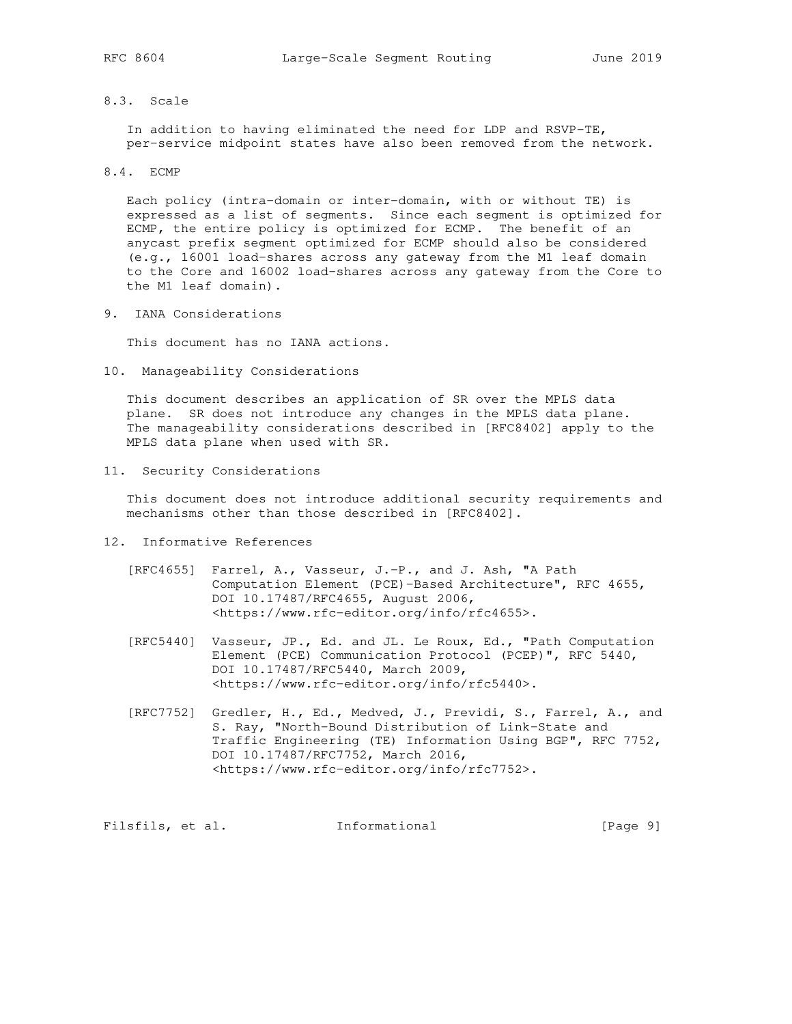## 8.3. Scale

 In addition to having eliminated the need for LDP and RSVP-TE, per-service midpoint states have also been removed from the network.

8.4. ECMP

 Each policy (intra-domain or inter-domain, with or without TE) is expressed as a list of segments. Since each segment is optimized for ECMP, the entire policy is optimized for ECMP. The benefit of an anycast prefix segment optimized for ECMP should also be considered (e.g., 16001 load-shares across any gateway from the M1 leaf domain to the Core and 16002 load-shares across any gateway from the Core to the M1 leaf domain).

9. IANA Considerations

This document has no IANA actions.

10. Manageability Considerations

 This document describes an application of SR over the MPLS data plane. SR does not introduce any changes in the MPLS data plane. The manageability considerations described in [RFC8402] apply to the MPLS data plane when used with SR.

11. Security Considerations

 This document does not introduce additional security requirements and mechanisms other than those described in [RFC8402].

- 12. Informative References
	- [RFC4655] Farrel, A., Vasseur, J.-P., and J. Ash, "A Path Computation Element (PCE)-Based Architecture", RFC 4655, DOI 10.17487/RFC4655, August 2006, <https://www.rfc-editor.org/info/rfc4655>.
	- [RFC5440] Vasseur, JP., Ed. and JL. Le Roux, Ed., "Path Computation Element (PCE) Communication Protocol (PCEP)", RFC 5440, DOI 10.17487/RFC5440, March 2009, <https://www.rfc-editor.org/info/rfc5440>.
	- [RFC7752] Gredler, H., Ed., Medved, J., Previdi, S., Farrel, A., and S. Ray, "North-Bound Distribution of Link-State and Traffic Engineering (TE) Information Using BGP", RFC 7752, DOI 10.17487/RFC7752, March 2016, <https://www.rfc-editor.org/info/rfc7752>.

Filsfils, et al. 1nformational [Page 9]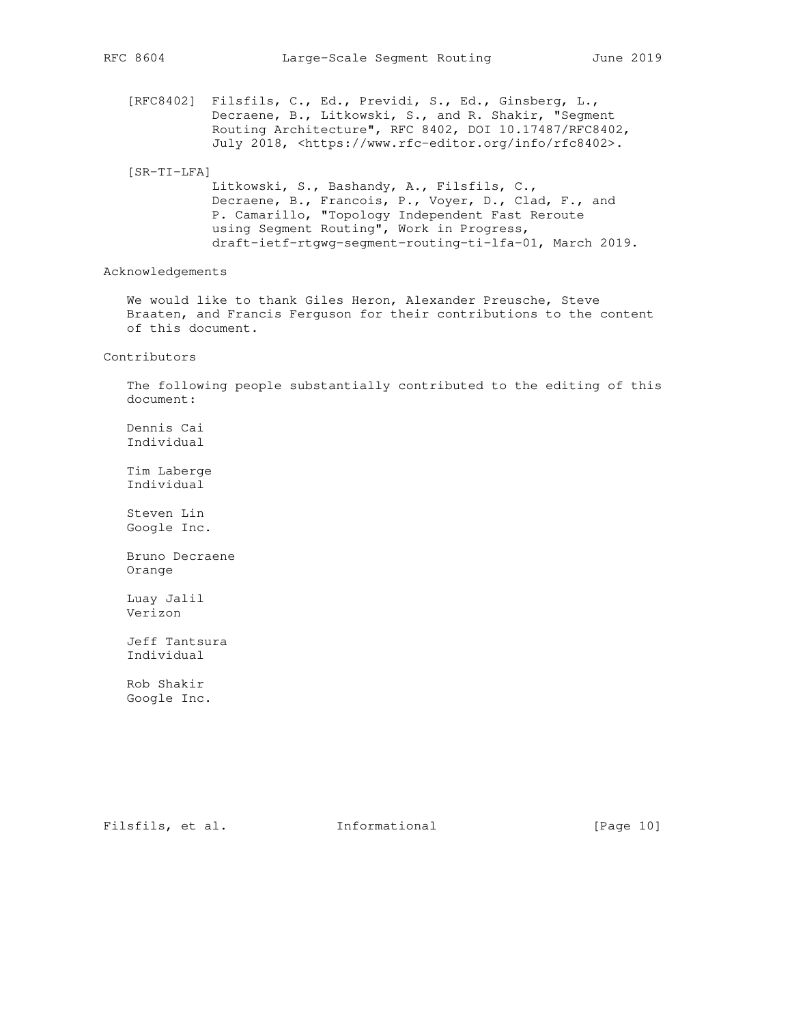[RFC8402] Filsfils, C., Ed., Previdi, S., Ed., Ginsberg, L., Decraene, B., Litkowski, S., and R. Shakir, "Segment Routing Architecture", RFC 8402, DOI 10.17487/RFC8402, July 2018, <https://www.rfc-editor.org/info/rfc8402>.

#### [SR-TI-LFA]

 Litkowski, S., Bashandy, A., Filsfils, C., Decraene, B., Francois, P., Voyer, D., Clad, F., and P. Camarillo, "Topology Independent Fast Reroute using Segment Routing", Work in Progress, draft-ietf-rtgwg-segment-routing-ti-lfa-01, March 2019.

Acknowledgements

 We would like to thank Giles Heron, Alexander Preusche, Steve Braaten, and Francis Ferguson for their contributions to the content of this document.

#### Contributors

 The following people substantially contributed to the editing of this document:

 Dennis Cai Individual

 Tim Laberge Individual

 Steven Lin Google Inc.

 Bruno Decraene Orange

 Luay Jalil Verizon

 Jeff Tantsura Individual

 Rob Shakir Google Inc.

Filsfils, et al. 1nformational [Page 10]